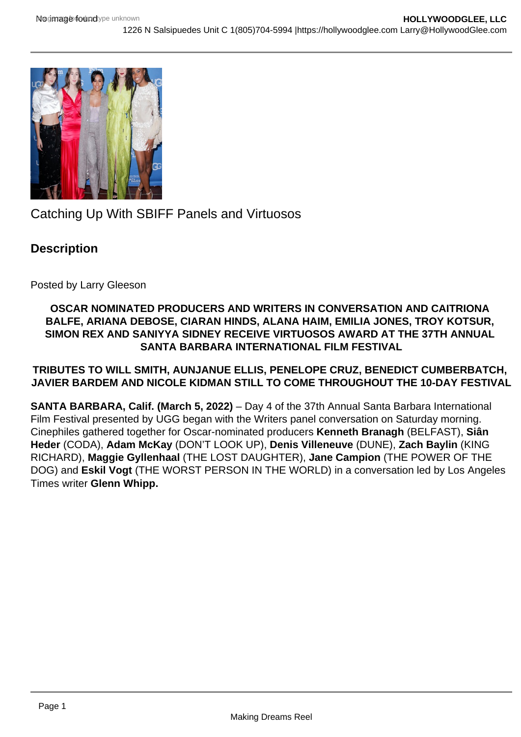

Catching Up With SBIFF Panels and Virtuosos

## **Description**

Posted by Larry Gleeson

## **OSCAR NOMINATED PRODUCERS AND WRITERS IN CONVERSATION AND CAITRIONA BALFE, ARIANA DEBOSE, CIARAN HINDS, ALANA HAIM, EMILIA JONES, TROY KOTSUR, SIMON REX AND SANIYYA SIDNEY RECEIVE VIRTUOSOS AWARD AT THE 37TH ANNUAL SANTA BARBARA INTERNATIONAL FILM FESTIVAL**

## **TRIBUTES TO WILL SMITH, AUNJANUE ELLIS, PENELOPE CRUZ, BENEDICT CUMBERBATCH, JAVIER BARDEM AND NICOLE KIDMAN STILL TO COME THROUGHOUT THE 10-DAY FESTIVAL**

**SANTA BARBARA, Calif. (March 5, 2022)** – Day 4 of the 37th Annual Santa Barbara International Film Festival presented by UGG began with the Writers panel conversation on Saturday morning. Cinephiles gathered together for Oscar-nominated producers **Kenneth Branagh** (BELFAST), **Siân Heder** (CODA), **Adam McKay** (DON'T LOOK UP), **Denis Villeneuve** (DUNE), **Zach Baylin** (KING RICHARD), **Maggie Gyllenhaal** (THE LOST DAUGHTER), **Jane Campion** (THE POWER OF THE DOG) and **Eskil Vogt** (THE WORST PERSON IN THE WORLD) in a conversation led by Los Angeles Times writer **Glenn Whipp.**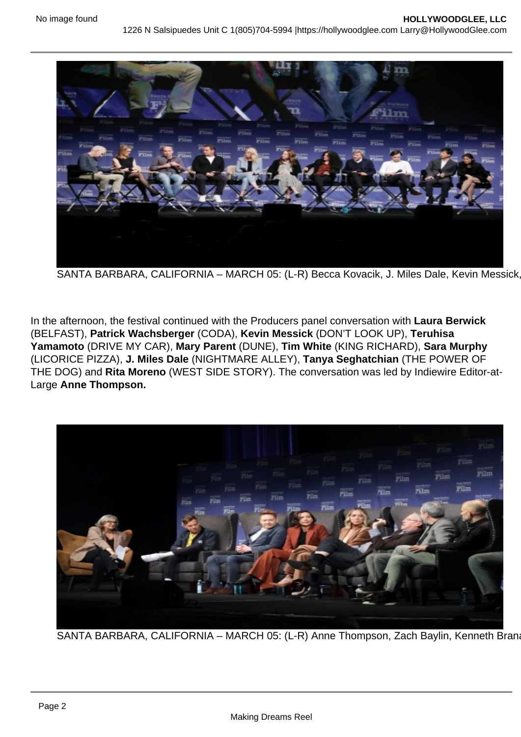SANTA BARBARA, CALIFORNIA – MARCH 05: (L-R) Becca Kovacik, J. Miles Dale, Kevin Messick

In the afternoon, the festival continued with the Producers panel conversation with Laura Berwick (BELFAST), Patrick Wachsberger (CODA), Kevin Messick (DON'T LOOK UP), Teruhisa Yamamoto (DRIVE MY CAR), Mary Parent (DUNE), Tim White (KING RICHARD), Sara Murphy (LICORICE PIZZA), J. Miles Dale (NIGHTMARE ALLEY), Tanya Seghatchian (THE POWER OF THE DOG) and Rita Moreno (WEST SIDE STORY). The conversation was led by Indiewire Editor-at-Large Anne Thompson.

SANTA BARBARA, CALIFORNIA - MARCH 05: (L-R) Anne Thompson, Zach Baylin, Kenneth Bran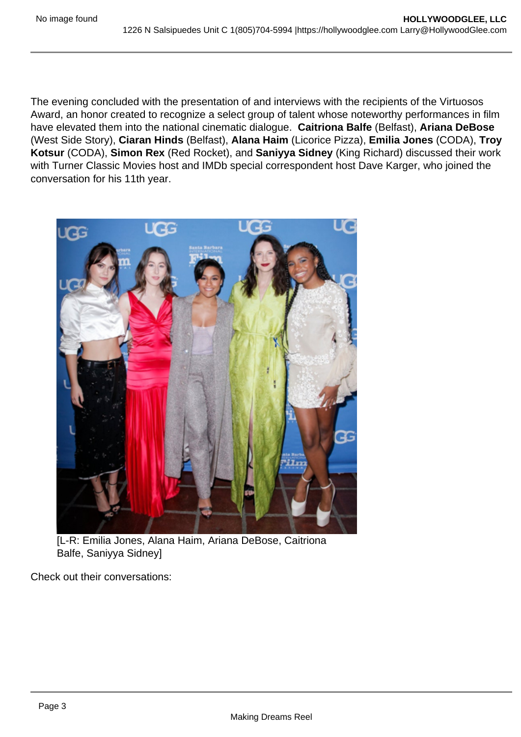The evening concluded with the presentation of and interviews with the recipients of the Virtuosos Award, an honor created to recognize a select group of talent whose noteworthy performances in film have elevated them into the national cinematic dialogue. Caitriona Balfe (Belfast), Ariana DeBose (West Side Story), Ciaran Hinds (Belfast), Alana Haim (Licorice Pizza), Emilia Jones (CODA), Troy Kotsur (CODA), Simon Rex (Red Rocket), and Saniyya Sidney (King Richard) discussed their work with Turner Classic Movies host and IMDb special correspondent host Dave Karger, who joined the conversation for his 11th year.

[L-R: Emilia Jones, Alana Haim, Ariana DeBose, Caitriona Balfe, Saniyya Sidney]

Check out their conversations: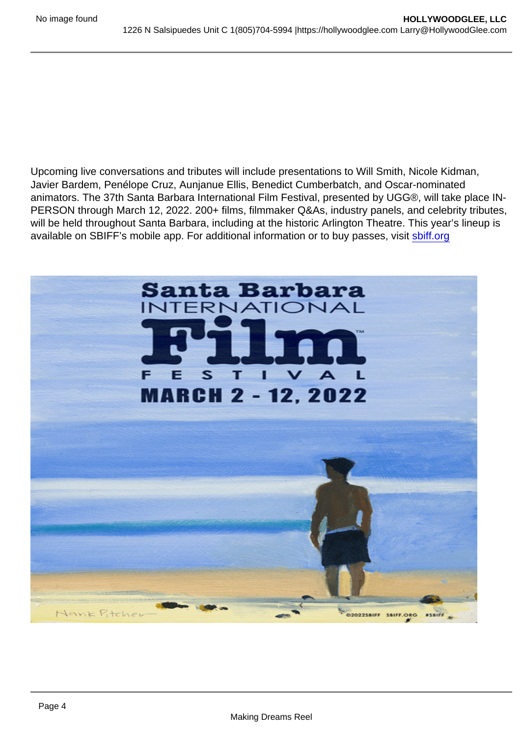Upcoming live conversations and tributes will include presentations to Will Smith, Nicole Kidman, Javier Bardem, Penélope Cruz, Aunjanue Ellis, Benedict Cumberbatch, and Oscar-nominated animators. The 37th Santa Barbara International Film Festival, presented by UGG®, will take place IN-PERSON through March 12, 2022. 200+ films, filmmaker Q&As, industry panels, and celebrity tributes, will be held throughout Santa Barbara, including at the historic Arlington Theatre. This year's lineup is available on SBIFF's mobile app. For additional information or to buy passes, visit [sbiff.org](http://sbiff.org)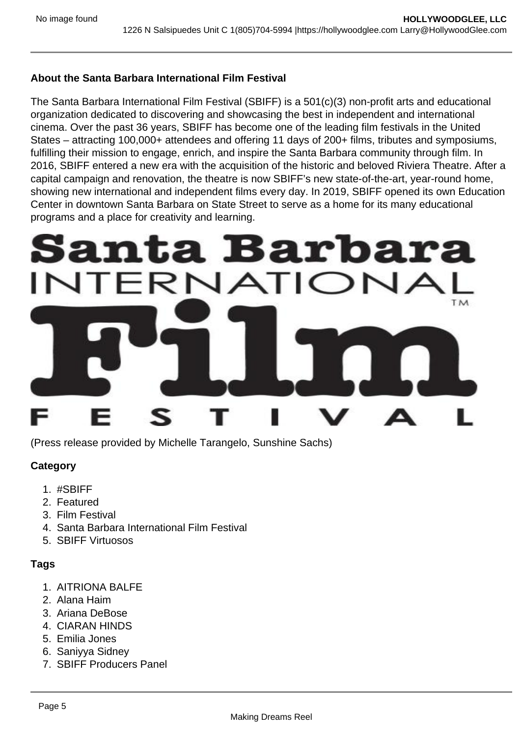About the Santa Barbara International Film Festival

The Santa Barbara International Film Festival (SBIFF) is a 501(c)(3) non-profit arts and educational organization dedicated to discovering and showcasing the best in independent and international cinema. Over the past 36 years, SBIFF has become one of the leading film festivals in the United States – attracting 100,000+ attendees and offering 11 days of 200+ films, tributes and symposiums, fulfilling their mission to engage, enrich, and inspire the Santa Barbara community through film. In 2016, SBIFF entered a new era with the acquisition of the historic and beloved Riviera Theatre. After a capital campaign and renovation, the theatre is now SBIFF's new state-of-the-art, year-round home, showing new international and independent films every day. In 2019, SBIFF opened its own Education Center in downtown Santa Barbara on State Street to serve as a home for its many educational programs and a place for creativity and learning.

(Press release provided by Michelle Tarangelo, Sunshine Sachs)

**Category** 

- 1. #SBIFF
- 2. Featured
- 3. Film Festival
- 4. Santa Barbara International Film Festival
- 5. SBIFF Virtuosos

Tags

- 1. AITRIONA BALFE
- 2. Alana Haim
- 3. Ariana DeBose
- 4. CIARAN HINDS
- 5. Emilia Jones
- 6. Saniyya Sidney
- 7. SBIFF Producers Panel